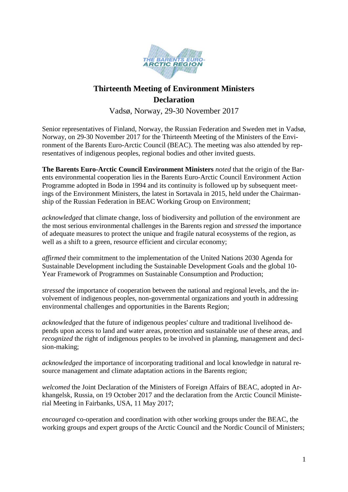

# **Thirteenth Meeting of Environment Ministers Declaration**

Vadsø, Norway, 29-30 November 2017

Senior representatives of Finland, Norway, the Russian Federation and Sweden met in Vadsø, Norway, on 29-30 November 2017 for the Thirteenth Meeting of the Ministers of the Environment of the Barents Euro-Arctic Council (BEAC). The meeting was also attended by representatives of indigenous peoples, regional bodies and other invited guests.

**The Barents Euro-Arctic Council Environment Ministers** *noted* that the origin of the Barents environmental cooperation lies in the Barents Euro-Arctic Council Environment Action Programme adopted in Bodø in 1994 and its continuity is followed up by subsequent meetings of the Environment Ministers, the latest in Sortavala in 2015, held under the Chairmanship of the Russian Federation in BEAC Working Group on Environment;

*acknowledged* that climate change, loss of biodiversity and pollution of the environment are the most serious environmental challenges in the Barents region and *stressed* the importance of adequate measures to protect the unique and fragile natural ecosystems of the region, as well as a shift to a green, resource efficient and circular economy;

*affirmed* their commitment to the implementation of the United Nations 2030 Agenda for Sustainable Development including the Sustainable Development Goals and the global 10- Year Framework of Programmes on Sustainable Consumption and Production;

*stressed* the importance of cooperation between the national and regional levels, and the involvement of indigenous peoples, non-governmental organizations and youth in addressing environmental challenges and opportunities in the Barents Region;

*acknowledged* that the future of indigenous peoples' culture and traditional livelihood depends upon access to land and water areas, protection and sustainable use of these areas, and *recognized* the right of indigenous peoples to be involved in planning, management and decision-making;

*acknowledged* the importance of incorporating traditional and local knowledge in natural resource management and climate adaptation actions in the Barents region;

*welcomed* the Joint Declaration of the Ministers of Foreign Affairs of BEAC, adopted in Arkhangelsk, Russia, on 19 October 2017 and the declaration from the Arctic Council Ministerial Meeting in Fairbanks, USA, 11 May 2017;

*encouraged* co-operation and coordination with other working groups under the BEAC, the working groups and expert groups of the Arctic Council and the Nordic Council of Ministers;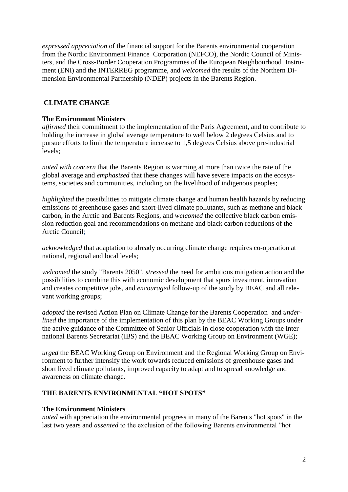*expressed appreciation* of the financial support for the Barents environmental cooperation from the Nordic Environment Finance Corporation (NEFCO), the Nordic Council of Ministers, and the Cross-Border Cooperation Programmes of the European Neighbourhood Instrument (ENI) and the INTERREG programme, and *welcomed* the results of the Northern Dimension Environmental Partnership (NDEP) projects in the Barents Region.

# **CLIMATE CHANGE**

## **The Environment Ministers**

*affirmed* their commitment to the implementation of the Paris Agreement, and to contribute to holding the increase in global average temperature to well below 2 degrees Celsius and to pursue efforts to limit the temperature increase to 1,5 degrees Celsius above pre-industrial levels;

*noted with concern* that the Barents Region is warming at more than twice the rate of the global average and *emphasized* that these changes will have severe impacts on the ecosystems, societies and communities, including on the livelihood of indigenous peoples;

*highlighted* the possibilities to mitigate climate change and human health hazards by reducing emissions of greenhouse gases and short-lived climate pollutants, such as methane and black carbon, in the Arctic and Barents Regions, and *welcomed* the collective black carbon emission reduction goal and recommendations on methane and black carbon reductions of the Arctic Council;

*acknowledged* that adaptation to already occurring climate change requires co-operation at national, regional and local levels;

*welcomed* the study "Barents 2050", *stressed* the need for ambitious mitigation action and the possibilities to combine this with economic development that spurs investment, innovation and creates competitive jobs, and *encouraged* follow-up of the study by BEAC and all relevant working groups;

*adopted* the revised Action Plan on Climate Change for the Barents Cooperation and *underlined* the importance of the implementation of this plan by the BEAC Working Groups under the active guidance of the Committee of Senior Officials in close cooperation with the International Barents Secretariat (IBS) and the BEAC Working Group on Environment (WGE);

*urged* the BEAC Working Group on Environment and the Regional Working Group on Environment to further intensify the work towards reduced emissions of greenhouse gases and short lived climate pollutants, improved capacity to adapt and to spread knowledge and awareness on climate change.

# **THE BARENTS ENVIRONMENTAL "HOT SPOTS"**

#### **The Environment Ministers**

*noted* with appreciation the environmental progress in many of the Barents "hot spots" in the last two years and *assented* to the exclusion of the following Barents environmental "hot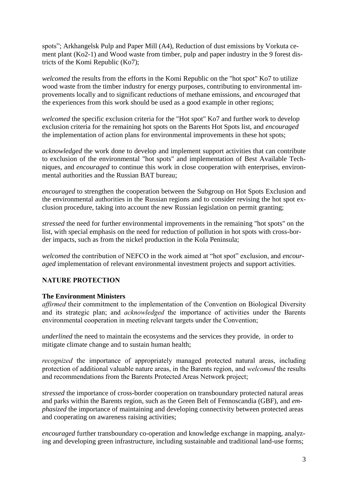spots"; Arkhangelsk Pulp and Paper Mill (A4), Reduction of dust emissions by Vorkuta cement plant (Ko2-1) and Wood waste from timber, pulp and paper industry in the 9 forest districts of the Komi Republic (Ko7);

*welcomed* the results from the efforts in the Komi Republic on the "hot spot" Ko7 to utilize wood waste from the timber industry for energy purposes, contributing to environmental improvements locally and to significant reductions of methane emissions, and *encouraged* that the experiences from this work should be used as a good example in other regions;

*welcomed* the specific exclusion criteria for the "Hot spot" Ko7 and further work to develop exclusion criteria for the remaining hot spots on the Barents Hot Spots list, and *encouraged* the implementation of action plans for environmental improvements in these hot spots;

*acknowledged* the work done to develop and implement support activities that can contribute to exclusion of the environmental "hot spots" and implementation of Best Available Techniques, and *encouraged* to continue this work in close cooperation with enterprises, environmental authorities and the Russian BAT bureau;

*encouraged* to strengthen the cooperation between the Subgroup on Hot Spots Exclusion and the environmental authorities in the Russian regions and to consider revising the hot spot exclusion procedure, taking into account the new Russian legislation on permit granting;

*stressed* the need for further environmental improvements in the remaining "hot spots" on the list, with special emphasis on the need for reduction of pollution in hot spots with cross-border impacts, such as from the nickel production in the Kola Peninsula;

*welcomed* the contribution of NEFCO in the work aimed at "hot spot" exclusion, and *encouraged* implementation of relevant environmental investment projects and support activities.

# **NATURE PROTECTION**

#### **The Environment Ministers**

*affirmed* their commitment to the implementation of the Convention on Biological Diversity and its strategic plan; and *acknowledged* the importance of activities under the Barents environmental cooperation in meeting relevant targets under the Convention;

*underlined* the need to maintain the ecosystems and the services they provide, in order to mitigate climate change and to sustain human health;

*recognized* the importance of appropriately managed protected natural areas, including protection of additional valuable nature areas, in the Barents region, and *welcomed* the results and recommendations from the Barents Protected Areas Network project;

*stressed* the importance of cross-border cooperation on transboundary protected natural areas and parks within the Barents region, such as the Green Belt of Fennoscandia (GBF), and *emphasized* the importance of maintaining and developing connectivity between protected areas and cooperating on awareness raising activities;

*encouraged* further transboundary co-operation and knowledge exchange in mapping, analyzing and developing green infrastructure, including sustainable and traditional land-use forms;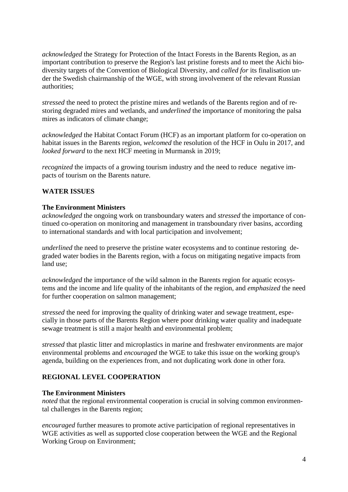*acknowledged* the Strategy for Protection of the Intact Forests in the Barents Region, as an important contribution to preserve the Region's last pristine forests and to meet the Aichi biodiversity targets of the Convention of Biological Diversity, and *called for* its finalisation under the Swedish chairmanship of the WGE, with strong involvement of the relevant Russian authorities;

*stressed* the need to protect the pristine mires and wetlands of the Barents region and of restoring degraded mires and wetlands, and *underlined* the importance of monitoring the palsa mires as indicators of climate change;

*acknowledged* the Habitat Contact Forum (HCF) as an important platform for co-operation on habitat issues in the Barents region, *welcomed* the resolution of the HCF in Oulu in 2017, and *looked forward* to the next HCF meeting in Murmansk in 2019;

*recognized* the impacts of a growing tourism industry and the need to reduce negative impacts of tourism on the Barents nature.

#### **WATER ISSUES**

#### **The Environment Ministers**

*acknowledged* the ongoing work on transboundary waters and *stressed* the importance of continued co-operation on monitoring and management in transboundary river basins, according to international standards and with local participation and involvement;

*underlined* the need to preserve the pristine water ecosystems and to continue restoring degraded water bodies in the Barents region, with a focus on mitigating negative impacts from land use;

*acknowledged* the importance of the wild salmon in the Barents region for aquatic ecosystems and the income and life quality of the inhabitants of the region, and *emphasized* the need for further cooperation on salmon management;

*stressed* the need for improving the quality of drinking water and sewage treatment, especially in those parts of the Barents Region where poor drinking water quality and inadequate sewage treatment is still a major health and environmental problem;

*stressed* that plastic litter and microplastics in marine and freshwater environments are major environmental problems and *encouraged* the WGE to take this issue on the working group's agenda, building on the experiences from, and not duplicating work done in other fora.

# **REGIONAL LEVEL COOPERATION**

#### **The Environment Ministers**

*noted* that the regional environmental cooperation is crucial in solving common environmental challenges in the Barents region;

*encouraged* further measures to promote active participation of regional representatives in WGE activities as well as supported close cooperation between the WGE and the Regional Working Group on Environment;